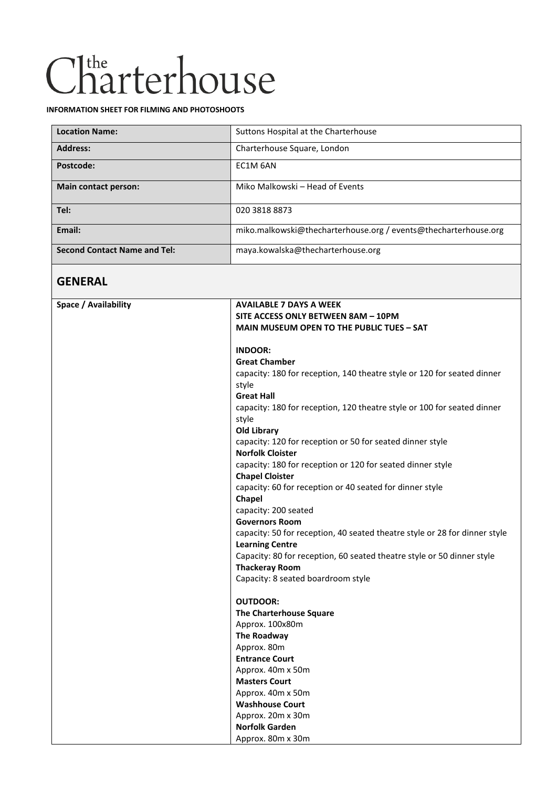# Charterhouse

#### **INFORMATION SHEET FOR FILMING AND PHOTOSHOOTS**

| <b>Location Name:</b>               | Suttons Hospital at the Charterhouse                            |
|-------------------------------------|-----------------------------------------------------------------|
| <b>Address:</b>                     | Charterhouse Square, London                                     |
| Postcode:                           | EC1M 6AN                                                        |
| <b>Main contact person:</b>         | Miko Malkowski – Head of Events                                 |
| Tel:                                | 020 3818 8873                                                   |
| Email:                              | miko.malkowski@thecharterhouse.org / events@thecharterhouse.org |
| <b>Second Contact Name and Tel:</b> | maya.kowalska@thecharterhouse.org                               |

### **GENERAL**

| Space / Availability | <b>AVAILABLE 7 DAYS A WEEK</b>                                             |
|----------------------|----------------------------------------------------------------------------|
|                      | SITE ACCESS ONLY BETWEEN 8AM - 10PM                                        |
|                      | <b>MAIN MUSEUM OPEN TO THE PUBLIC TUES - SAT</b>                           |
|                      | <b>INDOOR:</b>                                                             |
|                      |                                                                            |
|                      | <b>Great Chamber</b>                                                       |
|                      | capacity: 180 for reception, 140 theatre style or 120 for seated dinner    |
|                      | style                                                                      |
|                      | <b>Great Hall</b>                                                          |
|                      | capacity: 180 for reception, 120 theatre style or 100 for seated dinner    |
|                      | style                                                                      |
|                      | <b>Old Library</b>                                                         |
|                      | capacity: 120 for reception or 50 for seated dinner style                  |
|                      | <b>Norfolk Cloister</b>                                                    |
|                      | capacity: 180 for reception or 120 for seated dinner style                 |
|                      | <b>Chapel Cloister</b>                                                     |
|                      | capacity: 60 for reception or 40 seated for dinner style                   |
|                      | Chapel                                                                     |
|                      | capacity: 200 seated                                                       |
|                      | <b>Governors Room</b>                                                      |
|                      | capacity: 50 for reception, 40 seated theatre style or 28 for dinner style |
|                      | <b>Learning Centre</b>                                                     |
|                      | Capacity: 80 for reception, 60 seated theatre style or 50 dinner style     |
|                      | <b>Thackeray Room</b>                                                      |
|                      | Capacity: 8 seated boardroom style                                         |
|                      | <b>OUTDOOR:</b>                                                            |
|                      | <b>The Charterhouse Square</b>                                             |
|                      | Approx. 100x80m                                                            |
|                      | The Roadway                                                                |
|                      | Approx. 80m                                                                |
|                      | <b>Entrance Court</b>                                                      |
|                      | Approx. 40m x 50m                                                          |
|                      | <b>Masters Court</b>                                                       |
|                      | Approx. 40m x 50m                                                          |
|                      | <b>Washhouse Court</b>                                                     |
|                      | Approx. 20m x 30m                                                          |
|                      | <b>Norfolk Garden</b>                                                      |
|                      | Approx. 80m x 30m                                                          |
|                      |                                                                            |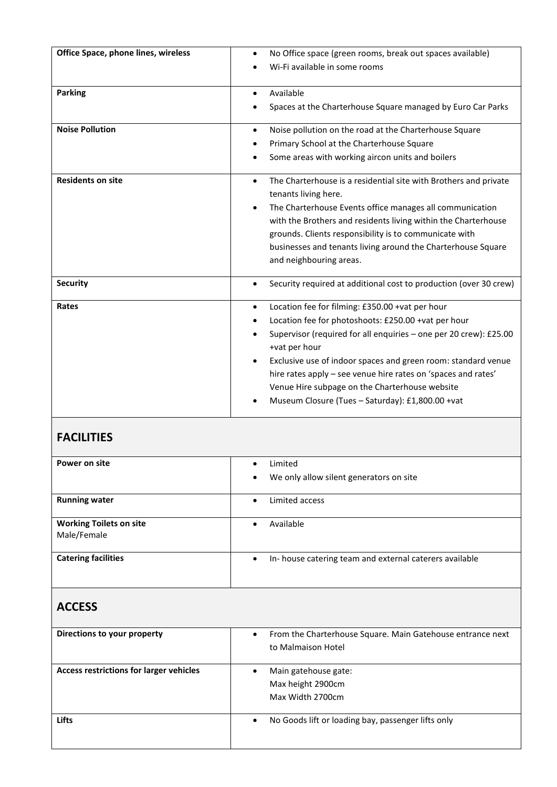| Office Space, phone lines, wireless | No Office space (green rooms, break out spaces available)<br>$\bullet$<br>Wi-Fi available in some rooms                                                                                                                                                                                                                                                                                                                                                                                  |
|-------------------------------------|------------------------------------------------------------------------------------------------------------------------------------------------------------------------------------------------------------------------------------------------------------------------------------------------------------------------------------------------------------------------------------------------------------------------------------------------------------------------------------------|
| <b>Parking</b>                      | Available<br>$\bullet$<br>Spaces at the Charterhouse Square managed by Euro Car Parks<br>$\bullet$                                                                                                                                                                                                                                                                                                                                                                                       |
| <b>Noise Pollution</b>              | Noise pollution on the road at the Charterhouse Square<br>$\bullet$<br>Primary School at the Charterhouse Square<br>٠<br>Some areas with working aircon units and boilers<br>$\bullet$                                                                                                                                                                                                                                                                                                   |
| <b>Residents on site</b>            | The Charterhouse is a residential site with Brothers and private<br>$\bullet$<br>tenants living here.<br>The Charterhouse Events office manages all communication<br>$\bullet$<br>with the Brothers and residents living within the Charterhouse<br>grounds. Clients responsibility is to communicate with<br>businesses and tenants living around the Charterhouse Square<br>and neighbouring areas.                                                                                    |
| <b>Security</b>                     | Security required at additional cost to production (over 30 crew)<br>$\bullet$                                                                                                                                                                                                                                                                                                                                                                                                           |
| Rates                               | Location fee for filming: £350.00 +vat per hour<br>$\bullet$<br>Location fee for photoshoots: £250.00 +vat per hour<br>$\bullet$<br>Supervisor (required for all enquiries - one per 20 crew): £25.00<br>$\bullet$<br>+vat per hour<br>Exclusive use of indoor spaces and green room: standard venue<br>$\bullet$<br>hire rates apply - see venue hire rates on 'spaces and rates'<br>Venue Hire subpage on the Charterhouse website<br>Museum Closure (Tues - Saturday): £1,800.00 +vat |

## **FACILITIES**

| Power on site                  | Limited<br>$\bullet$                                                |
|--------------------------------|---------------------------------------------------------------------|
|                                | We only allow silent generators on site<br>$\bullet$                |
|                                |                                                                     |
| <b>Running water</b>           | Limited access<br>$\bullet$                                         |
| <b>Working Toilets on site</b> | Available<br>$\bullet$                                              |
| Male/Female                    |                                                                     |
|                                |                                                                     |
| <b>Catering facilities</b>     | In-house catering team and external caterers available<br>$\bullet$ |
|                                |                                                                     |

## **ACCESS**

| Directions to your property                    | From the Charterhouse Square. Main Gatehouse entrance next<br>$\bullet$<br>to Malmaison Hotel |
|------------------------------------------------|-----------------------------------------------------------------------------------------------|
| <b>Access restrictions for larger vehicles</b> | Main gatehouse gate:<br>Max height 2900cm<br>Max Width 2700cm                                 |
| Lifts                                          | No Goods lift or loading bay, passenger lifts only<br>$\bullet$                               |